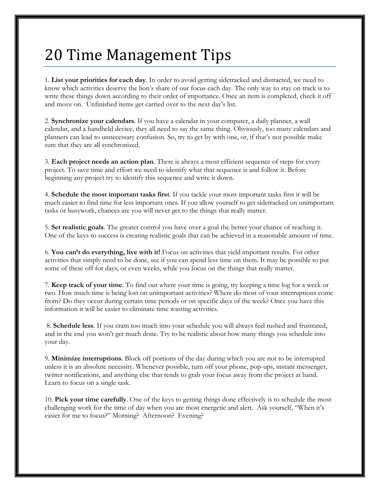## 20 Time Management Tips

1. **List your priorities for each day**. In order to avoid getting sidetracked and distracted, we need to know which activities deserve the lion's share of our focus each day. The only way to stay on track is to write these things down according to their order of importance. Once an item is completed, check it off and move on. Unfinished items get carried over to the next day's list.

2. **Synchronize your calendars**. If you have a calendar in your computer, a daily planner, a wall calendar, and a handheld device, they all need to say the same thing. Obviously, too many calendars and planners can lead to unnecessary confusion. So, try to get by with one, or, if that's not possible make sure that they are all synchronized.

3. **Each project needs an action plan**. There is always a most efficient sequence of steps for every project. To save [time and effort](http://advancedlifeskills.com/blog/time-and-success/) we need to identify what that sequence is and follow it. Before beginning any project try to identify this sequence and write it down.

4. **Schedule the most important tasks first**. If you tackle your most important tasks first it will be much easier to find time for less important ones. If you allow yourself to get sidetracked on unimportant tasks or busywork, chances are you will never get to the things that really matter.

5. **Set realistic goals**. The greater control you have over a goal the better your chance of reaching it. One of the keys to success is [creating realistic goals](http://advancedlifeskills.com/blog/goal-setting-or-wishful-thinking/) that can be achieved in a reasonable amount of time.

6. **You can't do everything, live with it!** Focus on activities that yield important results. For other activities that simply need to be done, see if you can spend less time on them. It may be possible to put some of these off for days, or even weeks, while you focus on the things that really matter.

7. **Keep track of your time**. To find out where your time is going, try keeping a time log for a week or two. How much time is being lost on unimportant activities? Where do most of your interruptions come from? Do they occur during certain time periods or on specific days of the week? Once you have this information it will be easier to eliminate time wasting activities.

8. **Schedule less**. If you cram too much into your schedule you will always feel rushed and frustrated, and in the end you won't get much done. Try to be realistic about how many things you schedule into your day.

9. **Minimize interruptions**. Block off portions of the day during which you are not to be interrupted unless it is an absolute necessity. Whenever possible, turn off your phone, pop-ups, instant messenger, twitter notifications, and anything else that tends to grab your focus away from the project at hand. Learn to focus on a single task.

10. **Pick your time carefully**. One of the keys to getting things done effectively is to schedule the most challenging work for the time of day when you are most energetic and alert. Ask yourself, "When it's easier for me to focus?" Morning? Afternoon? Evening?